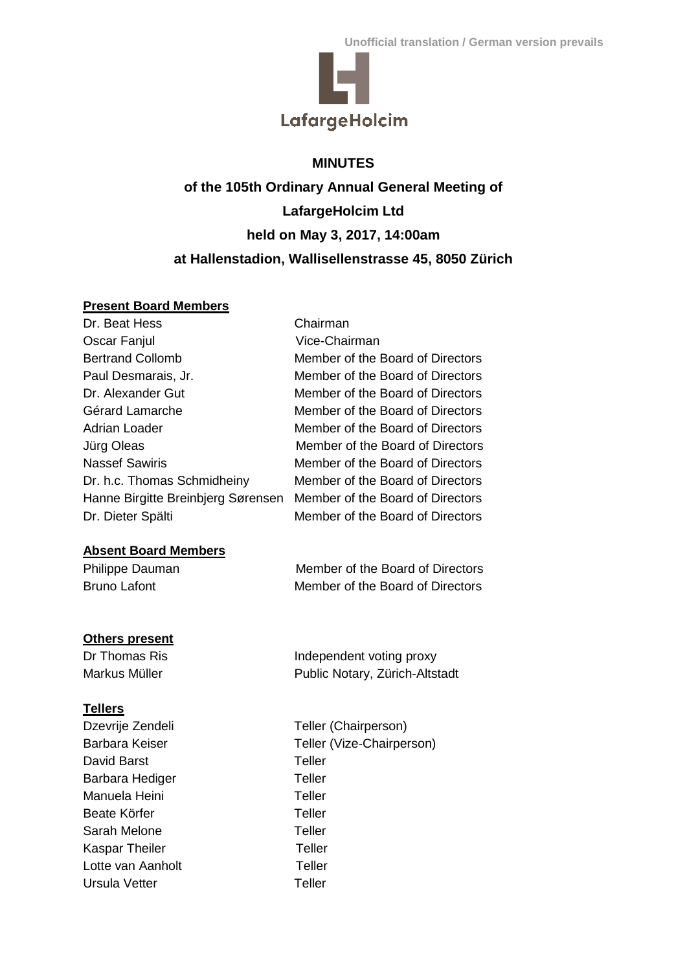

# **MINUTES**

**of the 105th Ordinary Annual General Meeting of LafargeHolcim Ltd held on May 3, 2017, 14:00am at Hallenstadion, Wallisellenstrasse 45, 8050 Zürich**

## **Present Board Members**

| Chairman                         |
|----------------------------------|
| Vice-Chairman                    |
| Member of the Board of Directors |
| Member of the Board of Directors |
| Member of the Board of Directors |
| Member of the Board of Directors |
| Member of the Board of Directors |
| Member of the Board of Directors |
| Member of the Board of Directors |
| Member of the Board of Directors |
| Member of the Board of Directors |
| Member of the Board of Directors |
|                                  |

# **Absent Board Members**

| Philippe Dauman     | Member of the Board of Directors |
|---------------------|----------------------------------|
| <b>Bruno Lafont</b> | Member of the Board of Directors |

# **Others present**

Dr Thomas Ris **Independent voting proxy** Markus Müller **Public Notary, Zürich-Altstadt** 

# **Tellers**

| Dzevrije Zendeli  | Teller (Chairperson)      |
|-------------------|---------------------------|
| Barbara Keiser    | Teller (Vize-Chairperson) |
| David Barst       | Teller                    |
| Barbara Hediger   | Teller                    |
| Manuela Heini     | Teller                    |
| Beate Körfer      | Teller                    |
| Sarah Melone      | Teller                    |
| Kaspar Theiler    | Teller                    |
| Lotte van Aanholt | Teller                    |
| Ursula Vetter     | Teller                    |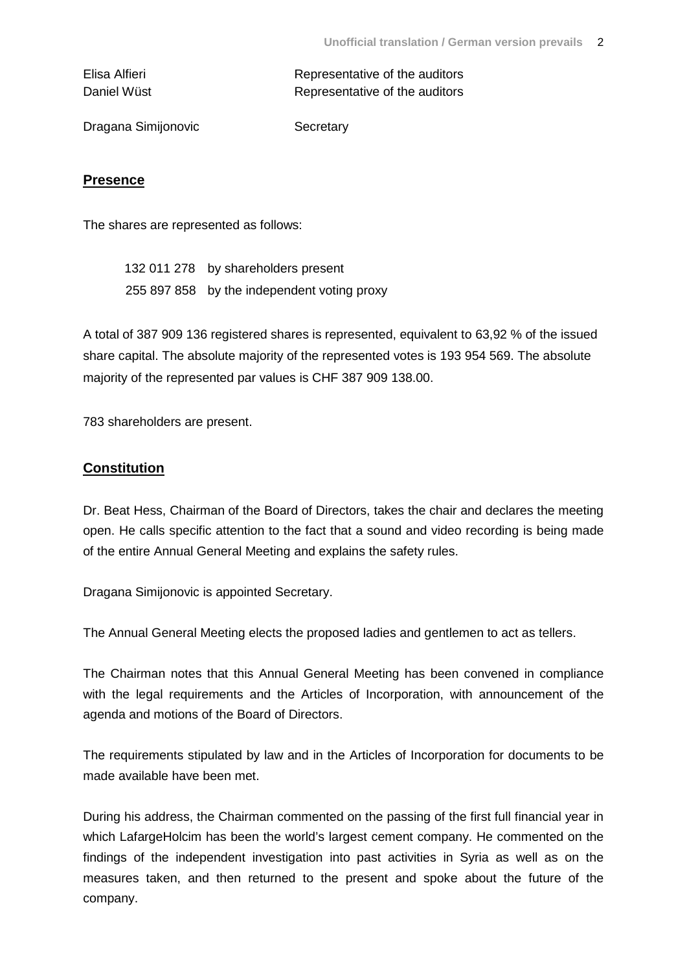| Elisa Alfieri | Representative of the auditors |
|---------------|--------------------------------|
| Daniel Wüst   | Representative of the auditors |

Dragana Simijonovic Secretary

## **Presence**

The shares are represented as follows:

132 011 278 by shareholders present 255 897 858 by the independent voting proxy

A total of 387 909 136 registered shares is represented, equivalent to 63,92 % of the issued share capital. The absolute majority of the represented votes is 193 954 569. The absolute majority of the represented par values is CHF 387 909 138.00.

783 shareholders are present.

## **Constitution**

Dr. Beat Hess, Chairman of the Board of Directors, takes the chair and declares the meeting open. He calls specific attention to the fact that a sound and video recording is being made of the entire Annual General Meeting and explains the safety rules.

Dragana Simijonovic is appointed Secretary.

The Annual General Meeting elects the proposed ladies and gentlemen to act as tellers.

The Chairman notes that this Annual General Meeting has been convened in compliance with the legal requirements and the Articles of Incorporation, with announcement of the agenda and motions of the Board of Directors.

The requirements stipulated by law and in the Articles of Incorporation for documents to be made available have been met.

During his address, the Chairman commented on the passing of the first full financial year in which LafargeHolcim has been the world's largest cement company. He commented on the findings of the independent investigation into past activities in Syria as well as on the measures taken, and then returned to the present and spoke about the future of the company.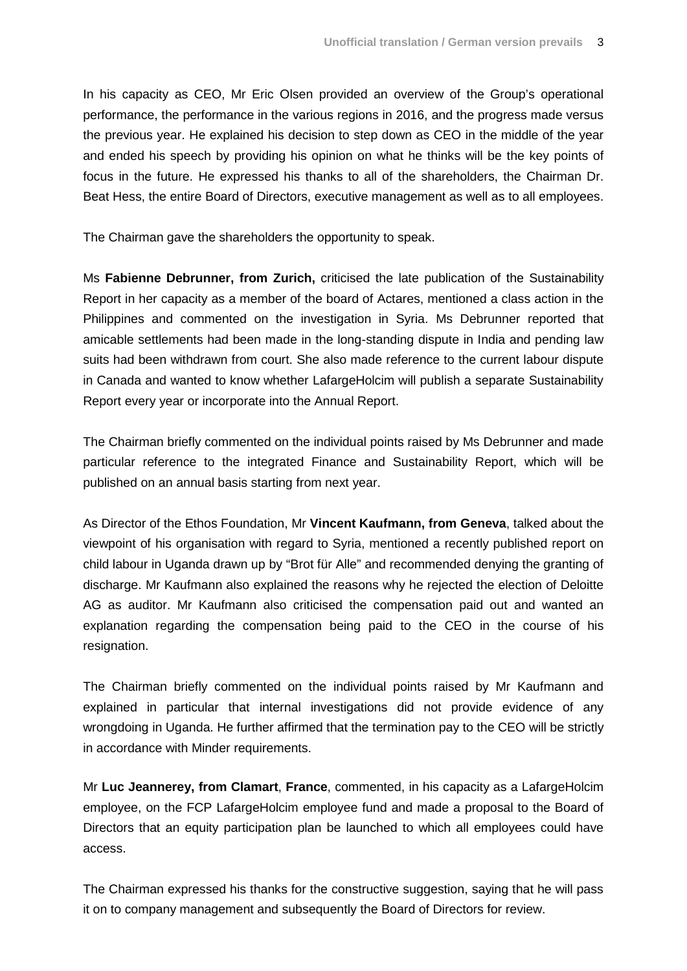In his capacity as CEO, Mr Eric Olsen provided an overview of the Group's operational performance, the performance in the various regions in 2016, and the progress made versus the previous year. He explained his decision to step down as CEO in the middle of the year and ended his speech by providing his opinion on what he thinks will be the key points of focus in the future. He expressed his thanks to all of the shareholders, the Chairman Dr. Beat Hess, the entire Board of Directors, executive management as well as to all employees.

The Chairman gave the shareholders the opportunity to speak.

Ms **Fabienne Debrunner, from Zurich,** criticised the late publication of the Sustainability Report in her capacity as a member of the board of Actares, mentioned a class action in the Philippines and commented on the investigation in Syria. Ms Debrunner reported that amicable settlements had been made in the long-standing dispute in India and pending law suits had been withdrawn from court. She also made reference to the current labour dispute in Canada and wanted to know whether LafargeHolcim will publish a separate Sustainability Report every year or incorporate into the Annual Report.

The Chairman briefly commented on the individual points raised by Ms Debrunner and made particular reference to the integrated Finance and Sustainability Report, which will be published on an annual basis starting from next year.

As Director of the Ethos Foundation, Mr **Vincent Kaufmann, from Geneva**, talked about the viewpoint of his organisation with regard to Syria, mentioned a recently published report on child labour in Uganda drawn up by "Brot für Alle" and recommended denying the granting of discharge. Mr Kaufmann also explained the reasons why he rejected the election of Deloitte AG as auditor. Mr Kaufmann also criticised the compensation paid out and wanted an explanation regarding the compensation being paid to the CEO in the course of his resignation.

The Chairman briefly commented on the individual points raised by Mr Kaufmann and explained in particular that internal investigations did not provide evidence of any wrongdoing in Uganda. He further affirmed that the termination pay to the CEO will be strictly in accordance with Minder requirements.

Mr **Luc Jeannerey, from Clamart**, **France**, commented, in his capacity as a LafargeHolcim employee, on the FCP LafargeHolcim employee fund and made a proposal to the Board of Directors that an equity participation plan be launched to which all employees could have access.

The Chairman expressed his thanks for the constructive suggestion, saying that he will pass it on to company management and subsequently the Board of Directors for review.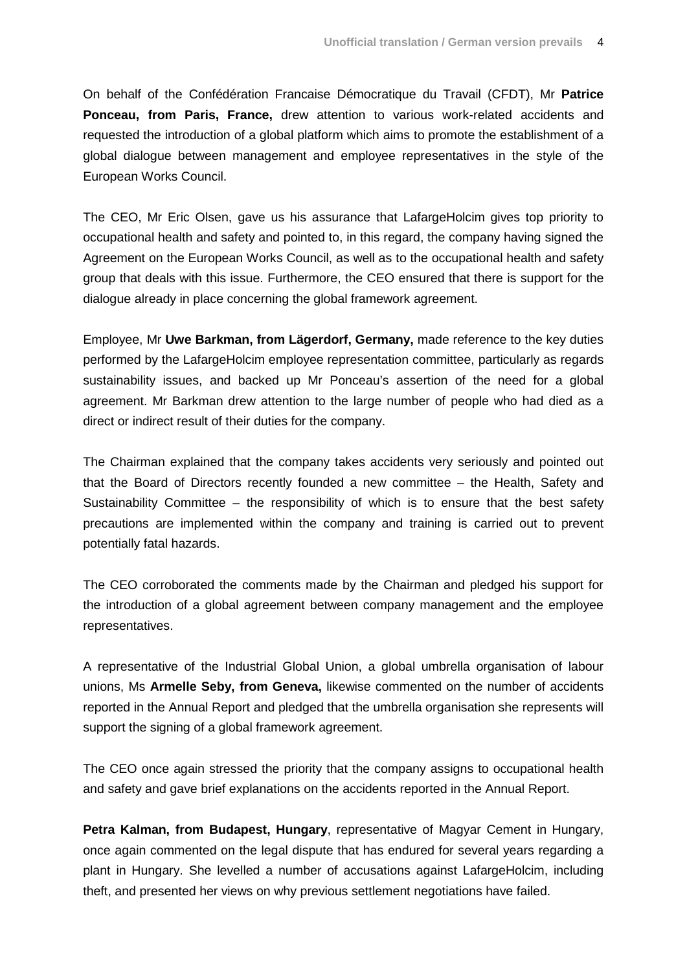On behalf of the Confédération Francaise Démocratique du Travail (CFDT), Mr **Patrice Ponceau, from Paris, France,** drew attention to various work-related accidents and requested the introduction of a global platform which aims to promote the establishment of a global dialogue between management and employee representatives in the style of the European Works Council.

The CEO, Mr Eric Olsen, gave us his assurance that LafargeHolcim gives top priority to occupational health and safety and pointed to, in this regard, the company having signed the Agreement on the European Works Council, as well as to the occupational health and safety group that deals with this issue. Furthermore, the CEO ensured that there is support for the dialogue already in place concerning the global framework agreement.

Employee, Mr **Uwe Barkman, from Lägerdorf, Germany,** made reference to the key duties performed by the LafargeHolcim employee representation committee, particularly as regards sustainability issues, and backed up Mr Ponceau's assertion of the need for a global agreement. Mr Barkman drew attention to the large number of people who had died as a direct or indirect result of their duties for the company.

The Chairman explained that the company takes accidents very seriously and pointed out that the Board of Directors recently founded a new committee – the Health, Safety and Sustainability Committee – the responsibility of which is to ensure that the best safety precautions are implemented within the company and training is carried out to prevent potentially fatal hazards.

The CEO corroborated the comments made by the Chairman and pledged his support for the introduction of a global agreement between company management and the employee representatives.

A representative of the Industrial Global Union, a global umbrella organisation of labour unions, Ms **Armelle Seby, from Geneva,** likewise commented on the number of accidents reported in the Annual Report and pledged that the umbrella organisation she represents will support the signing of a global framework agreement.

The CEO once again stressed the priority that the company assigns to occupational health and safety and gave brief explanations on the accidents reported in the Annual Report.

**Petra Kalman, from Budapest, Hungary**, representative of Magyar Cement in Hungary, once again commented on the legal dispute that has endured for several years regarding a plant in Hungary. She levelled a number of accusations against LafargeHolcim, including theft, and presented her views on why previous settlement negotiations have failed.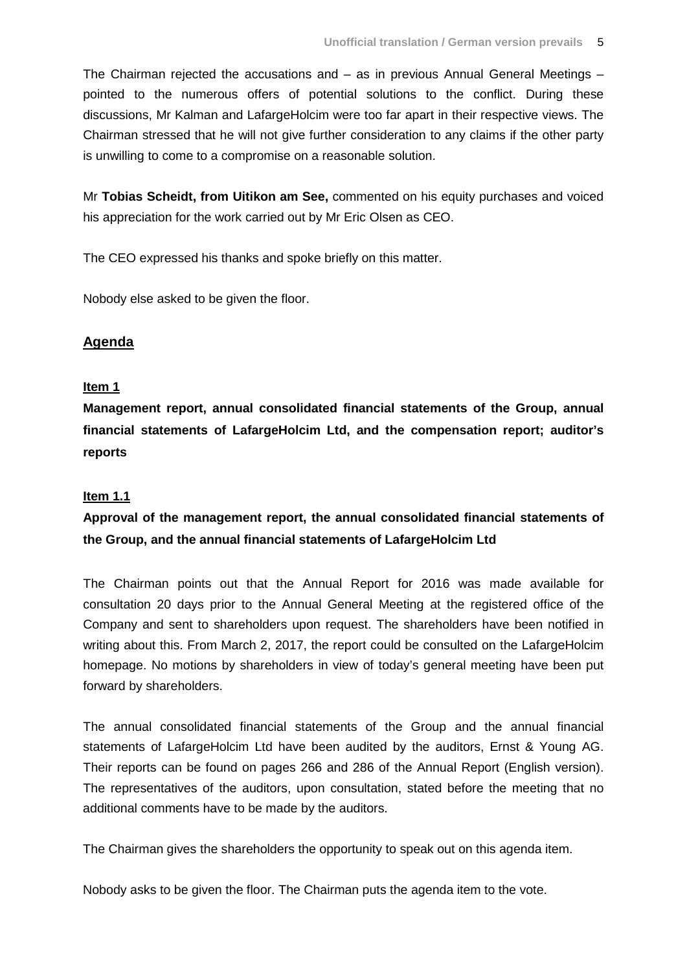The Chairman rejected the accusations and – as in previous Annual General Meetings – pointed to the numerous offers of potential solutions to the conflict. During these discussions, Mr Kalman and LafargeHolcim were too far apart in their respective views. The Chairman stressed that he will not give further consideration to any claims if the other party is unwilling to come to a compromise on a reasonable solution.

Mr **Tobias Scheidt, from Uitikon am See,** commented on his equity purchases and voiced his appreciation for the work carried out by Mr Eric Olsen as CEO.

The CEO expressed his thanks and spoke briefly on this matter.

Nobody else asked to be given the floor.

## **Agenda**

#### **Item 1**

**Management report, annual consolidated financial statements of the Group, annual financial statements of LafargeHolcim Ltd, and the compensation report; auditor's reports**

#### **Item 1.1**

# **Approval of the management report, the annual consolidated financial statements of the Group, and the annual financial statements of LafargeHolcim Ltd**

The Chairman points out that the Annual Report for 2016 was made available for consultation 20 days prior to the Annual General Meeting at the registered office of the Company and sent to shareholders upon request. The shareholders have been notified in writing about this. From March 2, 2017, the report could be consulted on the LafargeHolcim homepage. No motions by shareholders in view of today's general meeting have been put forward by shareholders.

The annual consolidated financial statements of the Group and the annual financial statements of LafargeHolcim Ltd have been audited by the auditors, Ernst & Young AG. Their reports can be found on pages 266 and 286 of the Annual Report (English version). The representatives of the auditors, upon consultation, stated before the meeting that no additional comments have to be made by the auditors.

The Chairman gives the shareholders the opportunity to speak out on this agenda item.

Nobody asks to be given the floor. The Chairman puts the agenda item to the vote.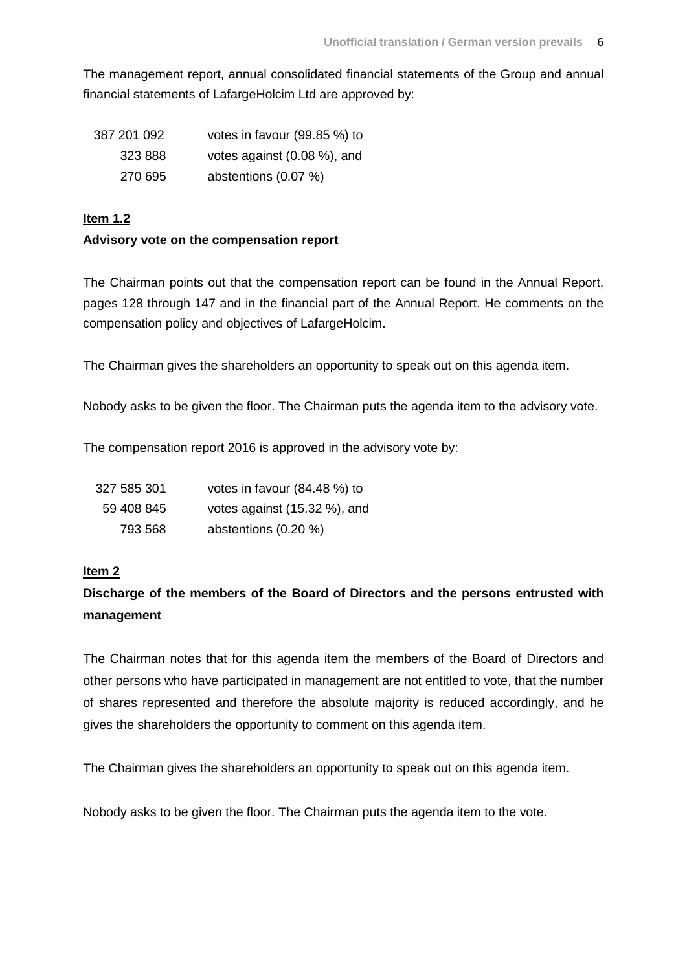The management report, annual consolidated financial statements of the Group and annual financial statements of LafargeHolcim Ltd are approved by:

| votes in favour (99.85 %) to   | 387 201 092 |
|--------------------------------|-------------|
| votes against $(0.08\%)$ , and | 323 888     |
| abstentions (0.07 %)           | 270 695     |

## **Item 1.2**

## **Advisory vote on the compensation report**

The Chairman points out that the compensation report can be found in the Annual Report, pages 128 through 147 and in the financial part of the Annual Report. He comments on the compensation policy and objectives of LafargeHolcim.

The Chairman gives the shareholders an opportunity to speak out on this agenda item.

Nobody asks to be given the floor. The Chairman puts the agenda item to the advisory vote.

The compensation report 2016 is approved in the advisory vote by:

| 327 585 301 | votes in favour (84.48 %) to |
|-------------|------------------------------|
| 59 408 845  | votes against (15.32 %), and |
| 793 568     | abstentions (0.20 %)         |

## **Item 2**

# **Discharge of the members of the Board of Directors and the persons entrusted with management**

The Chairman notes that for this agenda item the members of the Board of Directors and other persons who have participated in management are not entitled to vote, that the number of shares represented and therefore the absolute majority is reduced accordingly, and he gives the shareholders the opportunity to comment on this agenda item.

The Chairman gives the shareholders an opportunity to speak out on this agenda item.

Nobody asks to be given the floor. The Chairman puts the agenda item to the vote.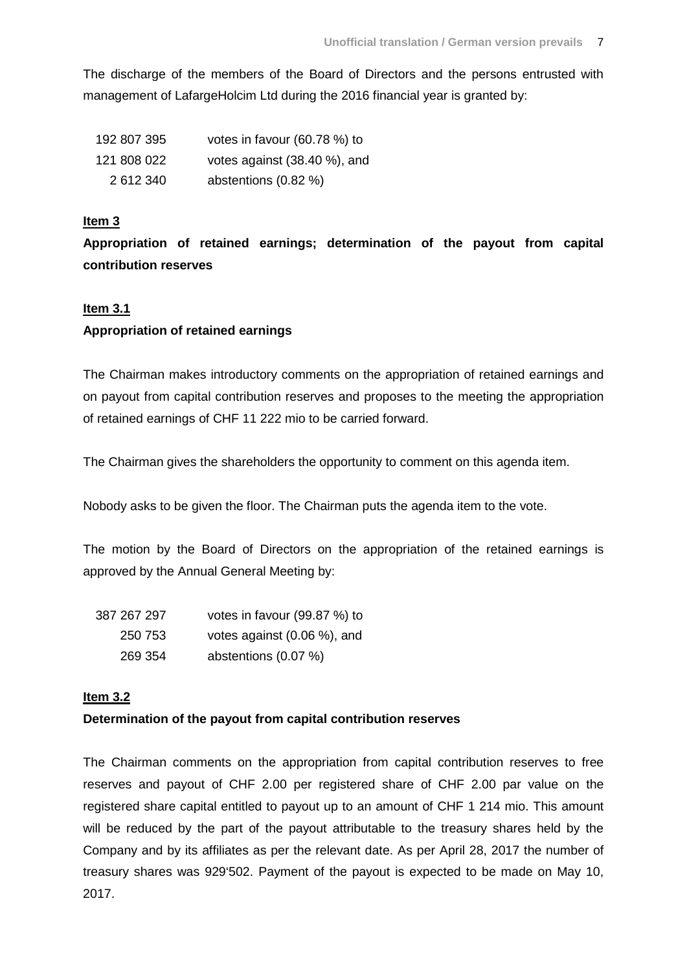The discharge of the members of the Board of Directors and the persons entrusted with management of LafargeHolcim Ltd during the 2016 financial year is granted by:

| 192 807 395 | votes in favour (60.78 %) to |
|-------------|------------------------------|
| 121 808 022 | votes against (38.40 %), and |
| 2 612 340   | abstentions (0.82 %)         |

## **Item 3**

**Appropriation of retained earnings; determination of the payout from capital contribution reserves**

## **Item 3.1**

## **Appropriation of retained earnings**

The Chairman makes introductory comments on the appropriation of retained earnings and on payout from capital contribution reserves and proposes to the meeting the appropriation of retained earnings of CHF 11 222 mio to be carried forward.

The Chairman gives the shareholders the opportunity to comment on this agenda item.

Nobody asks to be given the floor. The Chairman puts the agenda item to the vote.

The motion by the Board of Directors on the appropriation of the retained earnings is approved by the Annual General Meeting by:

| 387 267 297 | votes in favour (99.87 %) to |
|-------------|------------------------------|
| 250 753     | votes against (0.06 %), and  |
| 269 354     | abstentions (0.07 %)         |

## **Item 3.2**

## **Determination of the payout from capital contribution reserves**

The Chairman comments on the appropriation from capital contribution reserves to free reserves and payout of CHF 2.00 per registered share of CHF 2.00 par value on the registered share capital entitled to payout up to an amount of CHF 1 214 mio. This amount will be reduced by the part of the payout attributable to the treasury shares held by the Company and by its affiliates as per the relevant date. As per April 28, 2017 the number of treasury shares was 929'502. Payment of the payout is expected to be made on May 10, 2017.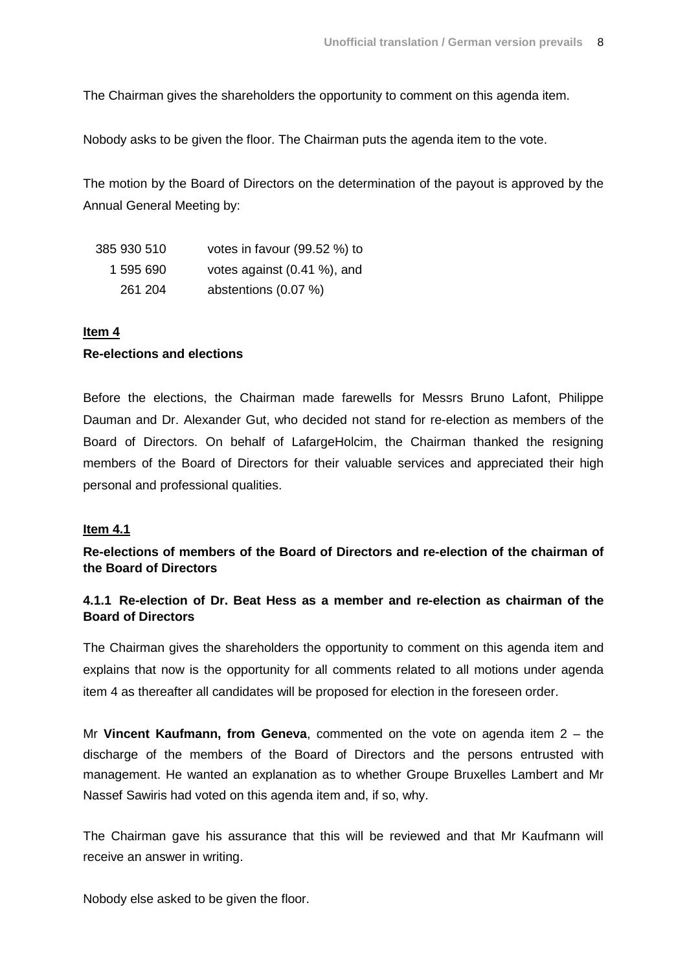The Chairman gives the shareholders the opportunity to comment on this agenda item.

Nobody asks to be given the floor. The Chairman puts the agenda item to the vote.

The motion by the Board of Directors on the determination of the payout is approved by the Annual General Meeting by:

| 385 930 510 | votes in favour (99.52 %) to |
|-------------|------------------------------|
| 1 595 690   | votes against (0.41 %), and  |
| 261 204     | abstentions (0.07 %)         |

#### **Item 4**

#### **Re-elections and elections**

Before the elections, the Chairman made farewells for Messrs Bruno Lafont, Philippe Dauman and Dr. Alexander Gut, who decided not stand for re-election as members of the Board of Directors. On behalf of LafargeHolcim, the Chairman thanked the resigning members of the Board of Directors for their valuable services and appreciated their high personal and professional qualities.

#### **Item 4.1**

**Re-elections of members of the Board of Directors and re-election of the chairman of the Board of Directors**

## **4.1.1 Re-election of Dr. Beat Hess as a member and re-election as chairman of the Board of Directors**

The Chairman gives the shareholders the opportunity to comment on this agenda item and explains that now is the opportunity for all comments related to all motions under agenda item 4 as thereafter all candidates will be proposed for election in the foreseen order.

Mr **Vincent Kaufmann, from Geneva**, commented on the vote on agenda item 2 – the discharge of the members of the Board of Directors and the persons entrusted with management. He wanted an explanation as to whether Groupe Bruxelles Lambert and Mr Nassef Sawiris had voted on this agenda item and, if so, why.

The Chairman gave his assurance that this will be reviewed and that Mr Kaufmann will receive an answer in writing.

Nobody else asked to be given the floor.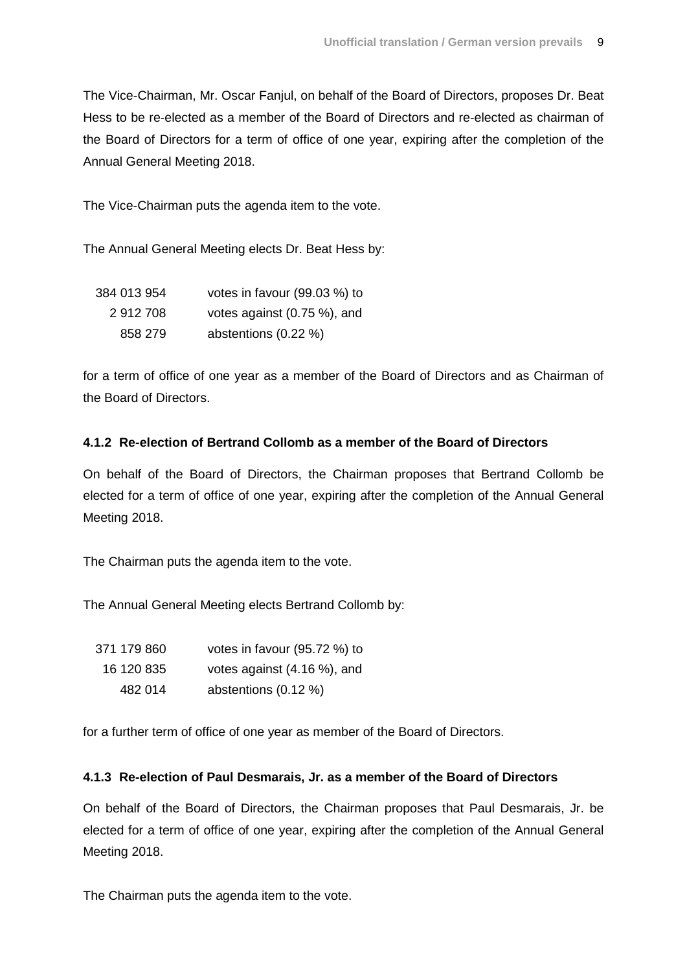The Vice-Chairman, Mr. Oscar Fanjul, on behalf of the Board of Directors, proposes Dr. Beat Hess to be re-elected as a member of the Board of Directors and re-elected as chairman of the Board of Directors for a term of office of one year, expiring after the completion of the Annual General Meeting 2018.

The Vice-Chairman puts the agenda item to the vote.

The Annual General Meeting elects Dr. Beat Hess by:

| 384 013 954 | votes in favour (99.03 %) to |
|-------------|------------------------------|
| 2912708     | votes against (0.75 %), and  |
| 858 279     | abstentions (0.22 %)         |

for a term of office of one year as a member of the Board of Directors and as Chairman of the Board of Directors.

#### **4.1.2 Re-election of Bertrand Collomb as a member of the Board of Directors**

On behalf of the Board of Directors, the Chairman proposes that Bertrand Collomb be elected for a term of office of one year, expiring after the completion of the Annual General Meeting 2018.

The Chairman puts the agenda item to the vote.

The Annual General Meeting elects Bertrand Collomb by:

| 371 179 860 | votes in favour (95.72 %) to |
|-------------|------------------------------|
| 16 120 835  | votes against (4.16 %), and  |
| 482 014     | abstentions (0.12 %)         |

for a further term of office of one year as member of the Board of Directors.

#### **4.1.3 Re-election of Paul Desmarais, Jr. as a member of the Board of Directors**

On behalf of the Board of Directors, the Chairman proposes that Paul Desmarais, Jr. be elected for a term of office of one year, expiring after the completion of the Annual General Meeting 2018.

The Chairman puts the agenda item to the vote.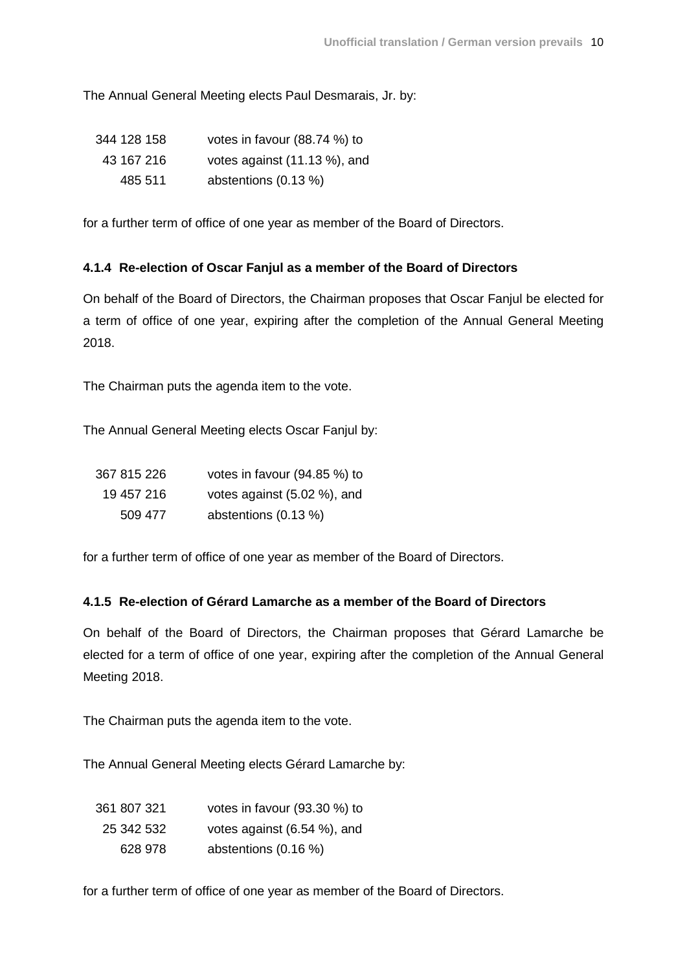The Annual General Meeting elects Paul Desmarais, Jr. by:

| 344 128 158 | votes in favour (88.74 %) to |
|-------------|------------------------------|
| 43 167 216  | votes against (11.13 %), and |
| 485 511     | abstentions (0.13 %)         |

for a further term of office of one year as member of the Board of Directors.

## **4.1.4 Re-election of Oscar Fanjul as a member of the Board of Directors**

On behalf of the Board of Directors, the Chairman proposes that Oscar Fanjul be elected for a term of office of one year, expiring after the completion of the Annual General Meeting 2018.

The Chairman puts the agenda item to the vote.

The Annual General Meeting elects Oscar Fanjul by:

| 367 815 226 | votes in favour (94.85 %) to |
|-------------|------------------------------|
| 19 457 216  | votes against (5.02 %), and  |
| 509 477     | abstentions (0.13 %)         |

for a further term of office of one year as member of the Board of Directors.

## **4.1.5 Re-election of Gérard Lamarche as a member of the Board of Directors**

On behalf of the Board of Directors, the Chairman proposes that Gérard Lamarche be elected for a term of office of one year, expiring after the completion of the Annual General Meeting 2018.

The Chairman puts the agenda item to the vote.

The Annual General Meeting elects Gérard Lamarche by:

| 361 807 321 | votes in favour (93.30 %) to |
|-------------|------------------------------|
| 25 342 532  | votes against (6.54 %), and  |
| 628 978     | abstentions (0.16 %)         |

for a further term of office of one year as member of the Board of Directors.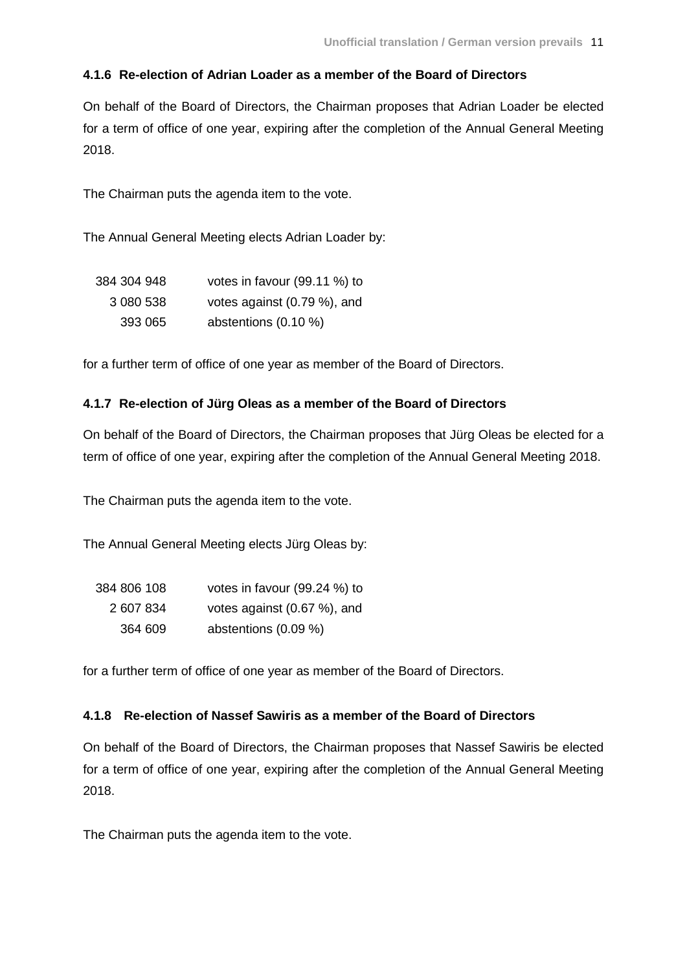#### **4.1.6 Re-election of Adrian Loader as a member of the Board of Directors**

On behalf of the Board of Directors, the Chairman proposes that Adrian Loader be elected for a term of office of one year, expiring after the completion of the Annual General Meeting 2018.

The Chairman puts the agenda item to the vote.

The Annual General Meeting elects Adrian Loader by:

| 384 304 948 | votes in favour (99.11 %) to |
|-------------|------------------------------|
| 3 080 538   | votes against (0.79 %), and  |
| 393 065     | abstentions $(0.10 \%)$      |

for a further term of office of one year as member of the Board of Directors.

#### **4.1.7 Re-election of Jürg Oleas as a member of the Board of Directors**

On behalf of the Board of Directors, the Chairman proposes that Jürg Oleas be elected for a term of office of one year, expiring after the completion of the Annual General Meeting 2018.

The Chairman puts the agenda item to the vote.

The Annual General Meeting elects Jürg Oleas by:

| 384 806 108 | votes in favour (99.24 %) to |
|-------------|------------------------------|
| 2 607 834   | votes against (0.67 %), and  |
| 364 609     | abstentions (0.09 %)         |

for a further term of office of one year as member of the Board of Directors.

#### **4.1.8 Re-election of Nassef Sawiris as a member of the Board of Directors**

On behalf of the Board of Directors, the Chairman proposes that Nassef Sawiris be elected for a term of office of one year, expiring after the completion of the Annual General Meeting 2018.

The Chairman puts the agenda item to the vote.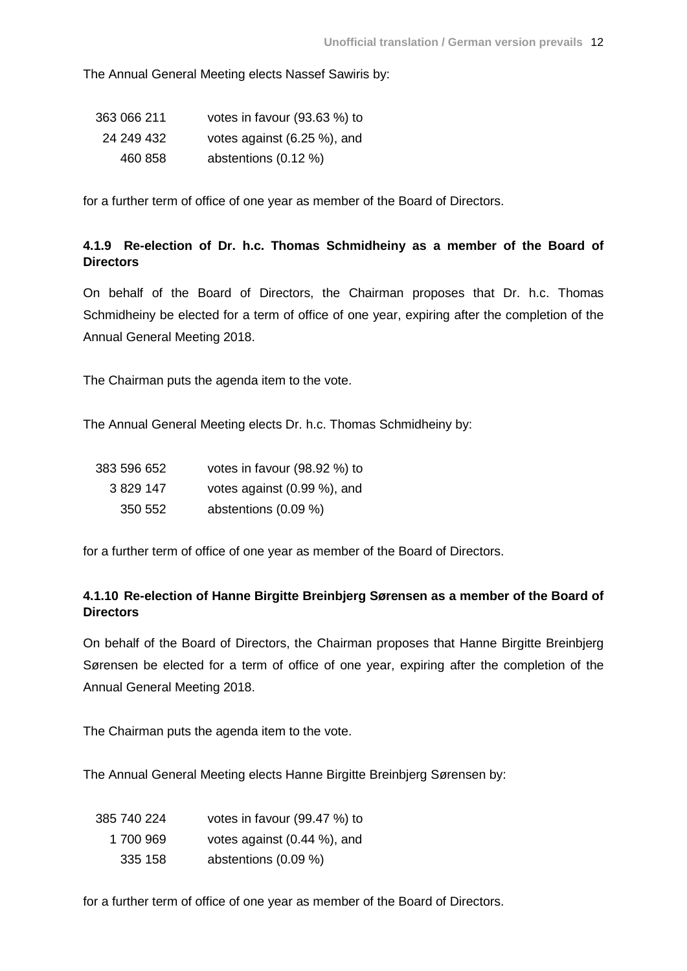The Annual General Meeting elects Nassef Sawiris by:

| 363 066 211 | votes in favour (93.63 %) to |
|-------------|------------------------------|
| 24 249 432  | votes against (6.25 %), and  |
| 460 858     | abstentions (0.12 %)         |

for a further term of office of one year as member of the Board of Directors.

# **4.1.9 Re-election of Dr. h.c. Thomas Schmidheiny as a member of the Board of Directors**

On behalf of the Board of Directors, the Chairman proposes that Dr. h.c. Thomas Schmidheiny be elected for a term of office of one year, expiring after the completion of the Annual General Meeting 2018.

The Chairman puts the agenda item to the vote.

The Annual General Meeting elects Dr. h.c. Thomas Schmidheiny by:

| 383 596 652 | votes in favour (98.92 %) to |
|-------------|------------------------------|
| 3 829 147   | votes against (0.99 %), and  |
| 350 552     | abstentions (0.09 %)         |

for a further term of office of one year as member of the Board of Directors.

# **4.1.10 Re-election of Hanne Birgitte Breinbjerg Sørensen as a member of the Board of Directors**

On behalf of the Board of Directors, the Chairman proposes that Hanne Birgitte Breinbjerg Sørensen be elected for a term of office of one year, expiring after the completion of the Annual General Meeting 2018.

The Chairman puts the agenda item to the vote.

The Annual General Meeting elects Hanne Birgitte Breinbjerg Sørensen by:

| 385 740 224 | votes in favour (99.47 %) to    |
|-------------|---------------------------------|
| 1700 969    | votes against $(0.44 \%)$ , and |
| 335 158     | abstentions (0.09 %)            |

for a further term of office of one year as member of the Board of Directors.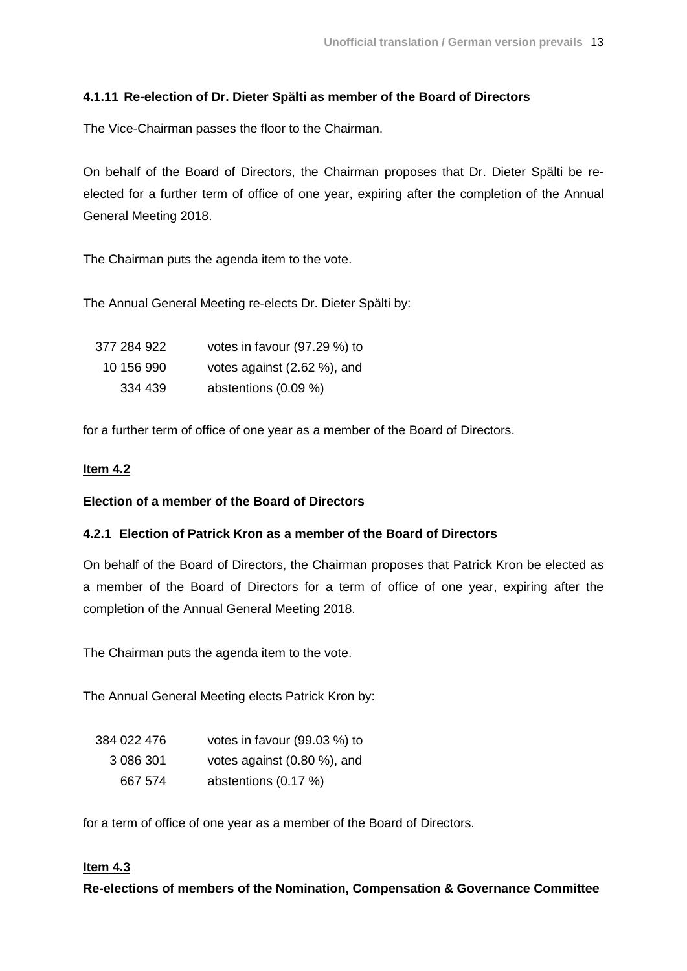# **4.1.11 Re-election of Dr. Dieter Spälti as member of the Board of Directors**

The Vice-Chairman passes the floor to the Chairman.

On behalf of the Board of Directors, the Chairman proposes that Dr. Dieter Spälti be reelected for a further term of office of one year, expiring after the completion of the Annual General Meeting 2018.

The Chairman puts the agenda item to the vote.

The Annual General Meeting re-elects Dr. Dieter Spälti by:

| 377 284 922 | votes in favour (97.29 %) to |
|-------------|------------------------------|
| 10 156 990  | votes against (2.62 %), and  |
| 334 439     | abstentions (0.09 %)         |

for a further term of office of one year as a member of the Board of Directors.

## **Item 4.2**

## **Election of a member of the Board of Directors**

## **4.2.1 Election of Patrick Kron as a member of the Board of Directors**

On behalf of the Board of Directors, the Chairman proposes that Patrick Kron be elected as a member of the Board of Directors for a term of office of one year, expiring after the completion of the Annual General Meeting 2018.

The Chairman puts the agenda item to the vote.

The Annual General Meeting elects Patrick Kron by:

| 384 022 476 | votes in favour (99.03 %) to   |
|-------------|--------------------------------|
| 3 086 301   | votes against $(0.80\%)$ , and |
| 667 574     | abstentions (0.17 %)           |

for a term of office of one year as a member of the Board of Directors.

## **Item 4.3**

**Re-elections of members of the Nomination, Compensation & Governance Committee**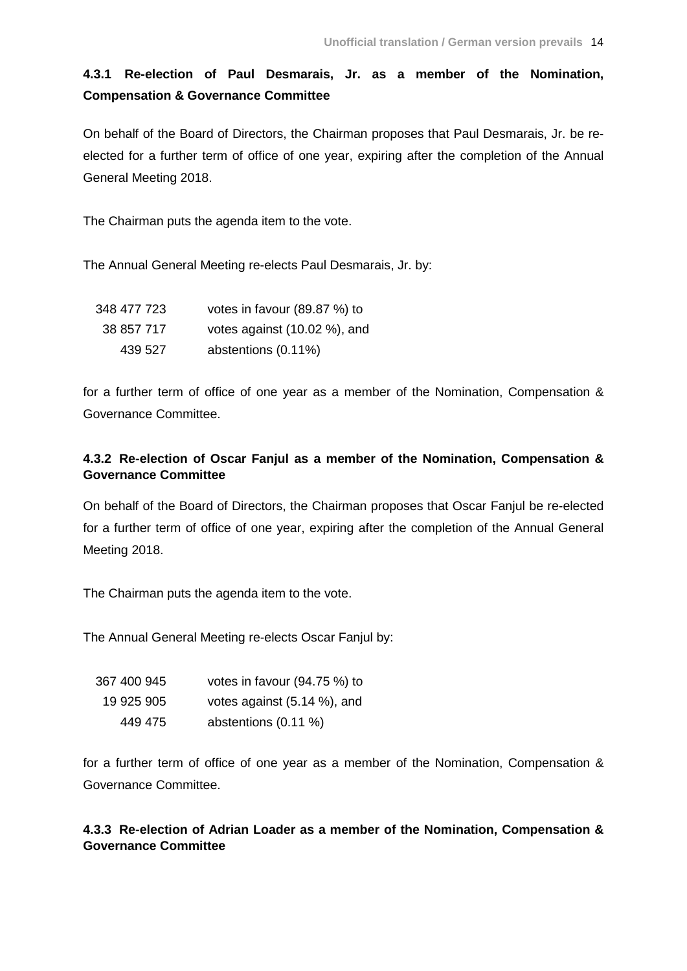# **4.3.1 Re-election of Paul Desmarais, Jr. as a member of the Nomination, Compensation & Governance Committee**

On behalf of the Board of Directors, the Chairman proposes that Paul Desmarais, Jr. be reelected for a further term of office of one year, expiring after the completion of the Annual General Meeting 2018.

The Chairman puts the agenda item to the vote.

The Annual General Meeting re-elects Paul Desmarais, Jr. by:

| 348 477 723 | votes in favour (89.87 %) to |
|-------------|------------------------------|
| 38 857 717  | votes against (10.02 %), and |
| 439 527     | abstentions (0.11%)          |

for a further term of office of one year as a member of the Nomination, Compensation & Governance Committee.

# **4.3.2 Re-election of Oscar Fanjul as a member of the Nomination, Compensation & Governance Committee**

On behalf of the Board of Directors, the Chairman proposes that Oscar Fanjul be re-elected for a further term of office of one year, expiring after the completion of the Annual General Meeting 2018.

The Chairman puts the agenda item to the vote.

The Annual General Meeting re-elects Oscar Fanjul by:

| 367 400 945 | votes in favour $(94.75%)$ to |
|-------------|-------------------------------|
| 19 925 905  | votes against (5.14 %), and   |
| 449 475     | abstentions (0.11 %)          |

for a further term of office of one year as a member of the Nomination, Compensation & Governance Committee.

**4.3.3 Re-election of Adrian Loader as a member of the Nomination, Compensation & Governance Committee**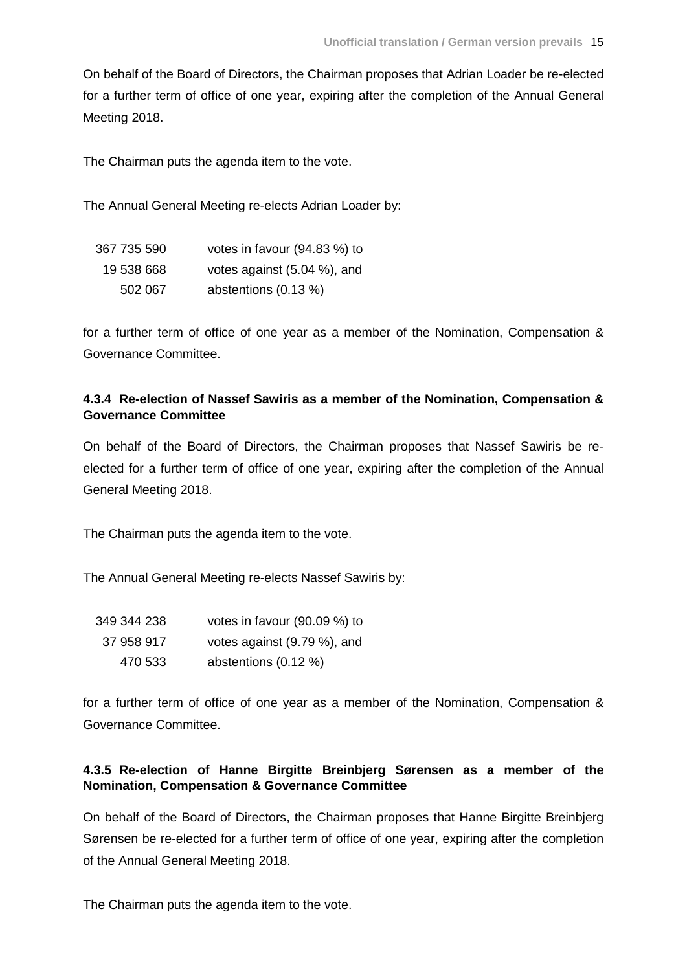On behalf of the Board of Directors, the Chairman proposes that Adrian Loader be re-elected for a further term of office of one year, expiring after the completion of the Annual General Meeting 2018.

The Chairman puts the agenda item to the vote.

The Annual General Meeting re-elects Adrian Loader by:

| 367 735 590 | votes in favour (94.83 %) to |
|-------------|------------------------------|
| 19 538 668  | votes against (5.04 %), and  |
| 502 067     | abstentions (0.13 %)         |

for a further term of office of one year as a member of the Nomination, Compensation & Governance Committee.

## **4.3.4 Re-election of Nassef Sawiris as a member of the Nomination, Compensation & Governance Committee**

On behalf of the Board of Directors, the Chairman proposes that Nassef Sawiris be reelected for a further term of office of one year, expiring after the completion of the Annual General Meeting 2018.

The Chairman puts the agenda item to the vote.

The Annual General Meeting re-elects Nassef Sawiris by:

| 349 344 238 | votes in favour $(90.09\%)$ to |
|-------------|--------------------------------|
| 37 958 917  | votes against (9.79 %), and    |
| 470 533     | abstentions $(0.12 \%)$        |

for a further term of office of one year as a member of the Nomination, Compensation & Governance Committee.

# **4.3.5 Re-election of Hanne Birgitte Breinbjerg Sørensen as a member of the Nomination, Compensation & Governance Committee**

On behalf of the Board of Directors, the Chairman proposes that Hanne Birgitte Breinbjerg Sørensen be re-elected for a further term of office of one year, expiring after the completion of the Annual General Meeting 2018.

The Chairman puts the agenda item to the vote.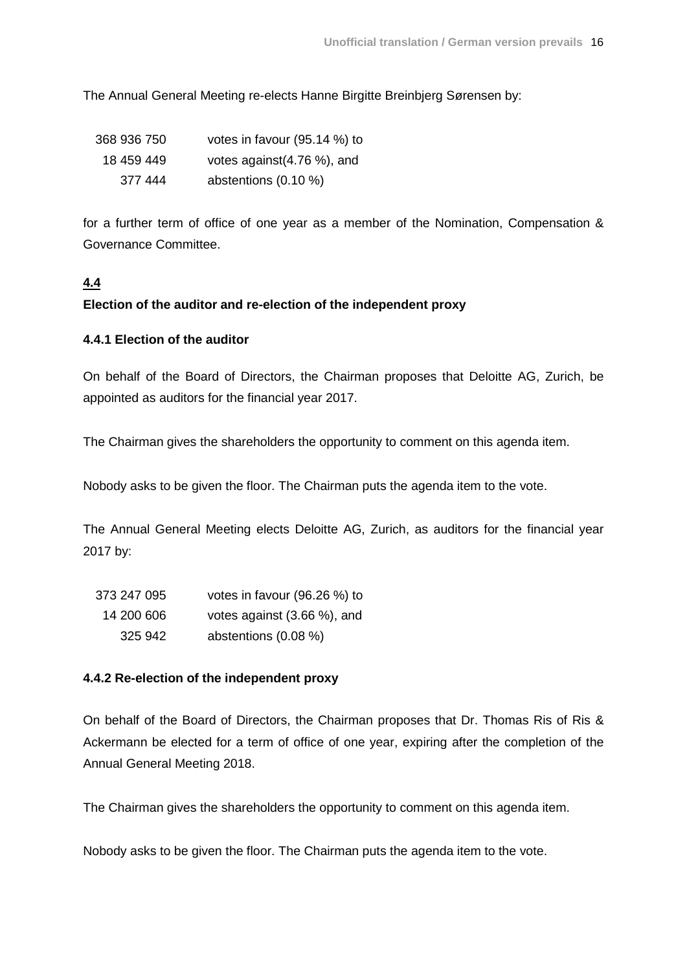The Annual General Meeting re-elects Hanne Birgitte Breinbjerg Sørensen by:

| 368 936 750 | votes in favour (95.14 %) to |
|-------------|------------------------------|
| 18 459 449  | votes against (4.76 %), and  |
| 377 444     | abstentions $(0.10\%)$       |

for a further term of office of one year as a member of the Nomination, Compensation & Governance Committee.

## **4.4**

#### **Election of the auditor and re-election of the independent proxy**

#### **4.4.1 Election of the auditor**

On behalf of the Board of Directors, the Chairman proposes that Deloitte AG, Zurich, be appointed as auditors for the financial year 2017.

The Chairman gives the shareholders the opportunity to comment on this agenda item.

Nobody asks to be given the floor. The Chairman puts the agenda item to the vote.

The Annual General Meeting elects Deloitte AG, Zurich, as auditors for the financial year 2017 by:

| 373 247 095 | votes in favour (96.26 %) to |
|-------------|------------------------------|
| 14 200 606  | votes against (3.66 %), and  |
| 325 942     | abstentions (0.08 %)         |

#### **4.4.2 Re-election of the independent proxy**

On behalf of the Board of Directors, the Chairman proposes that Dr. Thomas Ris of Ris & Ackermann be elected for a term of office of one year, expiring after the completion of the Annual General Meeting 2018.

The Chairman gives the shareholders the opportunity to comment on this agenda item.

Nobody asks to be given the floor. The Chairman puts the agenda item to the vote.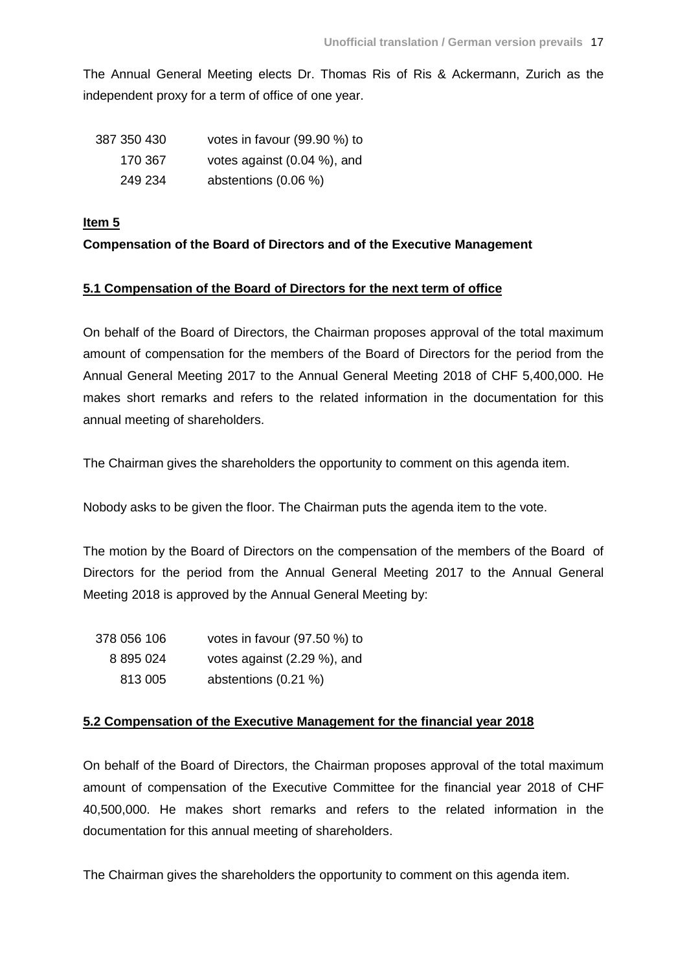The Annual General Meeting elects Dr. Thomas Ris of Ris & Ackermann, Zurich as the independent proxy for a term of office of one year.

| 387 350 430 | votes in favour (99.90 %) to    |
|-------------|---------------------------------|
| 170 367     | votes against $(0.04 \%)$ , and |
| 249 234     | abstentions $(0.06\%)$          |

## **Item 5**

## **Compensation of the Board of Directors and of the Executive Management**

## **5.1 Compensation of the Board of Directors for the next term of office**

On behalf of the Board of Directors, the Chairman proposes approval of the total maximum amount of compensation for the members of the Board of Directors for the period from the Annual General Meeting 2017 to the Annual General Meeting 2018 of CHF 5,400,000. He makes short remarks and refers to the related information in the documentation for this annual meeting of shareholders.

The Chairman gives the shareholders the opportunity to comment on this agenda item.

Nobody asks to be given the floor. The Chairman puts the agenda item to the vote.

The motion by the Board of Directors on the compensation of the members of the Board of Directors for the period from the Annual General Meeting 2017 to the Annual General Meeting 2018 is approved by the Annual General Meeting by:

| 378 056 106 | votes in favour $(97.50\%)$ to |
|-------------|--------------------------------|
| 8 895 024   | votes against (2.29 %), and    |
| 813 005     | abstentions (0.21 %)           |

## **5.2 Compensation of the Executive Management for the financial year 2018**

On behalf of the Board of Directors, the Chairman proposes approval of the total maximum amount of compensation of the Executive Committee for the financial year 2018 of CHF 40,500,000. He makes short remarks and refers to the related information in the documentation for this annual meeting of shareholders.

The Chairman gives the shareholders the opportunity to comment on this agenda item.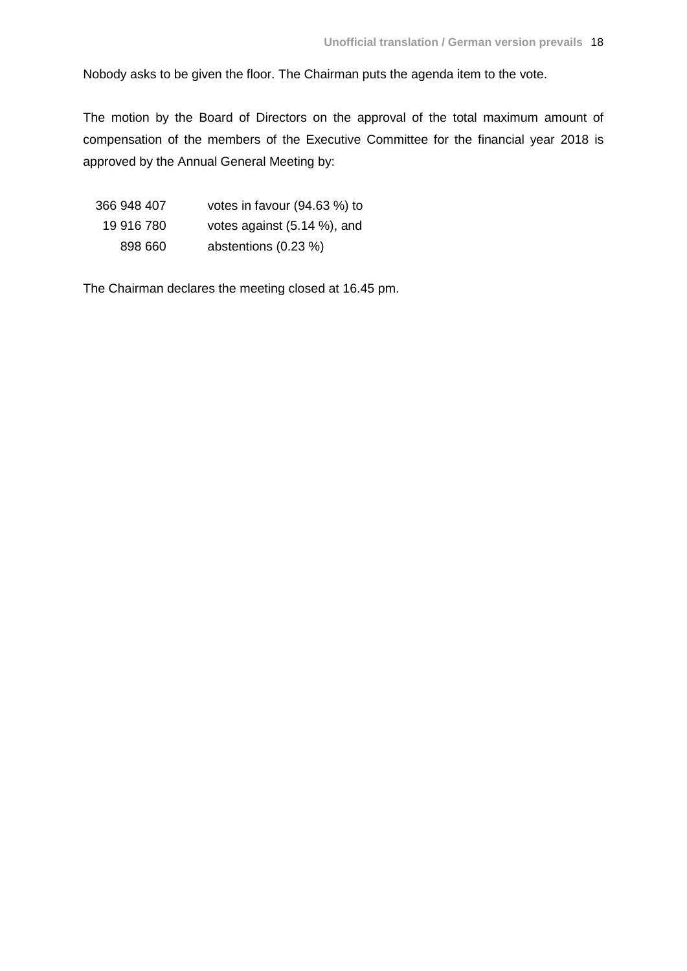Nobody asks to be given the floor. The Chairman puts the agenda item to the vote.

The motion by the Board of Directors on the approval of the total maximum amount of compensation of the members of the Executive Committee for the financial year 2018 is approved by the Annual General Meeting by:

| 366 948 407 | votes in favour (94.63 %) to |
|-------------|------------------------------|
| 19 916 780  | votes against (5.14 %), and  |
| 898 660     | abstentions (0.23 %)         |

The Chairman declares the meeting closed at 16.45 pm.